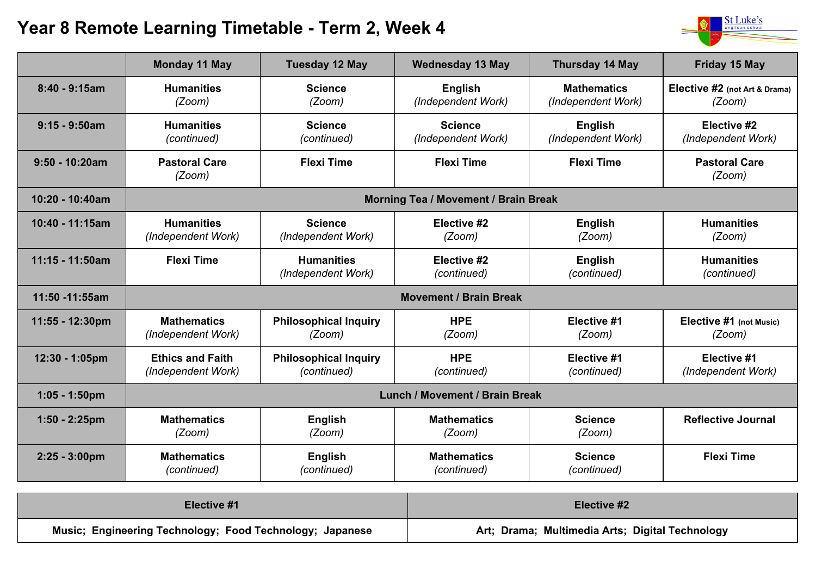## **Year 8 Remote Learning Timetable - Term 2, Week 4**



|                  | <b>Monday 11 May</b>                          | <b>Tuesday 12 May</b>                       | <b>Wednesday 13 May</b>              | <b>Thursday 14 May</b>                   | <b>Friday 15 May</b>                    |
|------------------|-----------------------------------------------|---------------------------------------------|--------------------------------------|------------------------------------------|-----------------------------------------|
| $8:40 - 9:15am$  | <b>Humanities</b><br>(Zoom)                   | <b>Science</b><br>(Zoom)                    | <b>English</b><br>(Independent Work) | <b>Mathematics</b><br>(Independent Work) | Elective #2 (not Art & Drama)<br>(Zoom) |
| $9:15 - 9:50$ am | <b>Humanities</b><br>(continued)              | <b>Science</b><br>(continued)               | <b>Science</b><br>(Independent Work) | <b>English</b><br>(Independent Work)     | Elective #2<br>(Independent Work)       |
| $9:50 - 10:20am$ | <b>Pastoral Care</b><br>(Zoom)                | <b>Flexi Time</b>                           | <b>Flexi Time</b>                    | <b>Flexi Time</b>                        | <b>Pastoral Care</b><br>(Zoom)          |
| 10:20 - 10:40am  | <b>Morning Tea / Movement / Brain Break</b>   |                                             |                                      |                                          |                                         |
| 10:40 - 11:15am  | <b>Humanities</b><br>(Independent Work)       | <b>Science</b><br>(Independent Work)        | Elective #2<br>(Zoom)                | <b>English</b><br>(Zoom)                 | <b>Humanities</b><br>(Zoom)             |
| 11:15 - 11:50am  | <b>Flexi Time</b>                             | <b>Humanities</b><br>(Independent Work)     | Elective #2<br>(continued)           | <b>English</b><br>(continued)            | <b>Humanities</b><br>(continued)        |
| 11:50 -11:55am   | <b>Movement / Brain Break</b>                 |                                             |                                      |                                          |                                         |
| 11:55 - 12:30pm  | <b>Mathematics</b><br>(Independent Work)      | <b>Philosophical Inquiry</b><br>(Zoom)      | <b>HPE</b><br>(Zoom)                 | Elective #1<br>(Zoom)                    | Elective #1 (not Music)<br>(Zoom)       |
| 12:30 - 1:05pm   | <b>Ethics and Faith</b><br>(Independent Work) | <b>Philosophical Inquiry</b><br>(continued) | <b>HPE</b><br>(continued)            | Elective #1<br>(continued)               | Elective #1<br>(Independent Work)       |
| $1:05 - 1:50$ pm | <b>Lunch / Movement / Brain Break</b>         |                                             |                                      |                                          |                                         |
| $1:50 - 2:25$ pm | <b>Mathematics</b><br>(Zoom)                  | <b>English</b><br>(Zoom)                    | <b>Mathematics</b><br>(Zoom)         | <b>Science</b><br>(Zoom)                 | <b>Reflective Journal</b>               |
| 2:25 - 3:00pm    | <b>Mathematics</b><br>(continued)             | <b>English</b><br>(continued)               | <b>Mathematics</b><br>(continued)    | <b>Science</b><br>(continued)            | <b>Flexi Time</b>                       |

| Elective #1                                              | Elective #2                                     |  |
|----------------------------------------------------------|-------------------------------------------------|--|
| Music; Engineering Technology; Food Technology; Japanese | Art; Drama; Multimedia Arts; Digital Technology |  |